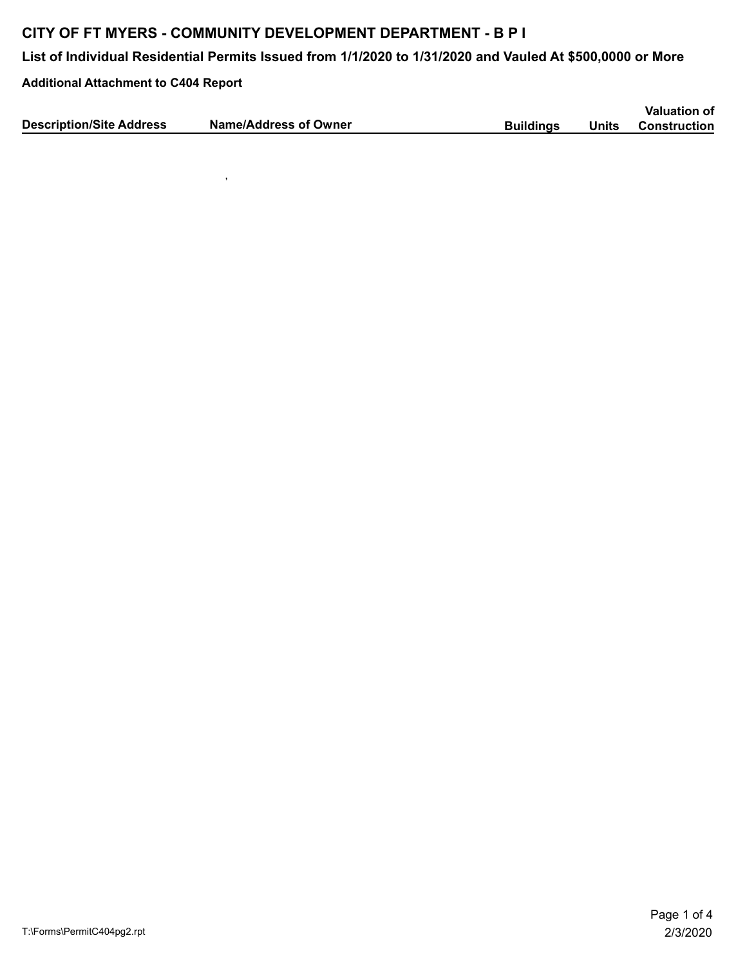## **CITY OF FT MYERS - COMMUNITY DEVELOPMENT DEPARTMENT - B P I**

,

**List of Individual Residential Permits Issued from 1/1/2020 to 1/31/2020 and Vauled At \$500,0000 or More**

**Additional Attachment to C404 Report**

|                                 |                              |                  |       | <b>Valuation of</b> |
|---------------------------------|------------------------------|------------------|-------|---------------------|
| <b>Description/Site Address</b> | <b>Name/Address of Owner</b> | <b>Buildings</b> | Units | <b>Construction</b> |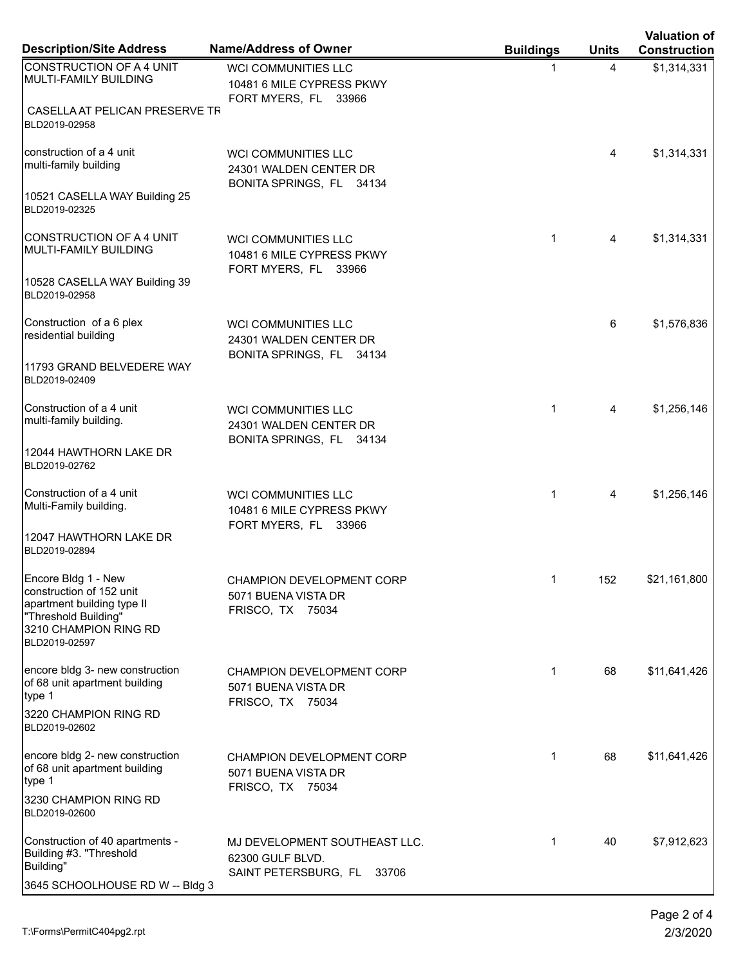| <b>Description/Site Address</b>                                                                                                                 | <b>Name/Address of Owner</b>                                                       | <b>Buildings</b> | <b>Units</b> | <b>Valuation of</b><br><b>Construction</b> |
|-------------------------------------------------------------------------------------------------------------------------------------------------|------------------------------------------------------------------------------------|------------------|--------------|--------------------------------------------|
| CONSTRUCTION OF A 4 UNIT<br>MULTI-FAMILY BUILDING                                                                                               | WCI COMMUNITIES LLC<br>10481 6 MILE CYPRESS PKWY<br>FORT MYERS, FL 33966           | 1                | 4            | \$1,314,331                                |
| CASELLA AT PELICAN PRESERVE TR<br>BLD2019-02958                                                                                                 |                                                                                    |                  |              |                                            |
| construction of a 4 unit<br>multi-family building                                                                                               | <b>WCI COMMUNITIES LLC</b><br>24301 WALDEN CENTER DR<br>BONITA SPRINGS, FL 34134   |                  | 4            | \$1,314,331                                |
| 10521 CASELLA WAY Building 25<br>BLD2019-02325                                                                                                  |                                                                                    |                  |              |                                            |
| CONSTRUCTION OF A 4 UNIT<br>MULTI-FAMILY BUILDING                                                                                               | <b>WCI COMMUNITIES LLC</b><br>10481 6 MILE CYPRESS PKWY<br>FORT MYERS, FL 33966    | $\mathbf{1}$     | 4            | \$1,314,331                                |
| 10528 CASELLA WAY Building 39<br>BLD2019-02958                                                                                                  |                                                                                    |                  |              |                                            |
| Construction of a 6 plex<br>residential building                                                                                                | <b>WCI COMMUNITIES LLC</b><br>24301 WALDEN CENTER DR<br>BONITA SPRINGS, FL 34134   |                  | 6            | \$1,576,836                                |
| 11793 GRAND BELVEDERE WAY<br>BLD2019-02409                                                                                                      |                                                                                    |                  |              |                                            |
| Construction of a 4 unit<br>multi-family building.                                                                                              | <b>WCI COMMUNITIES LLC</b><br>24301 WALDEN CENTER DR<br>BONITA SPRINGS, FL 34134   | $\mathbf{1}$     | 4            | \$1,256,146                                |
| 12044 HAWTHORN LAKE DR<br>BLD2019-02762                                                                                                         |                                                                                    |                  |              |                                            |
| Construction of a 4 unit<br>Multi-Family building.                                                                                              | <b>WCI COMMUNITIES LLC</b><br>10481 6 MILE CYPRESS PKWY<br>FORT MYERS, FL 33966    | $\mathbf{1}$     | 4            | \$1,256,146                                |
| 12047 HAWTHORN LAKE DR<br>BLD2019-02894                                                                                                         |                                                                                    |                  |              |                                            |
| Encore Bldg 1 - New<br>construction of 152 unit<br>apartment building type II<br>"Threshold Building"<br>3210 CHAMPION RING RD<br>BLD2019-02597 | CHAMPION DEVELOPMENT CORP<br>5071 BUENA VISTA DR<br>FRISCO, TX 75034               | $\mathbf 1$      | 152          | \$21,161,800                               |
| encore bldg 3- new construction<br>of 68 unit apartment building<br>type 1                                                                      | <b>CHAMPION DEVELOPMENT CORP</b><br>5071 BUENA VISTA DR<br><b>FRISCO, TX 75034</b> | $\mathbf 1$      | 68           | \$11,641,426                               |
| 3220 CHAMPION RING RD<br>BLD2019-02602                                                                                                          |                                                                                    |                  |              |                                            |
| encore bldg 2- new construction<br>of 68 unit apartment building<br>type 1                                                                      | <b>CHAMPION DEVELOPMENT CORP</b><br>5071 BUENA VISTA DR<br>FRISCO, TX 75034        | 1                | 68           | \$11,641,426                               |
| 3230 CHAMPION RING RD<br>BLD2019-02600                                                                                                          |                                                                                    |                  |              |                                            |
| Construction of 40 apartments -<br>Building #3. "Threshold<br>Building"<br>3645 SCHOOLHOUSE RD W -- Bldg 3                                      | MJ DEVELOPMENT SOUTHEAST LLC.<br>62300 GULF BLVD.<br>SAINT PETERSBURG, FL 33706    | $\mathbf 1$      | 40           | \$7,912,623                                |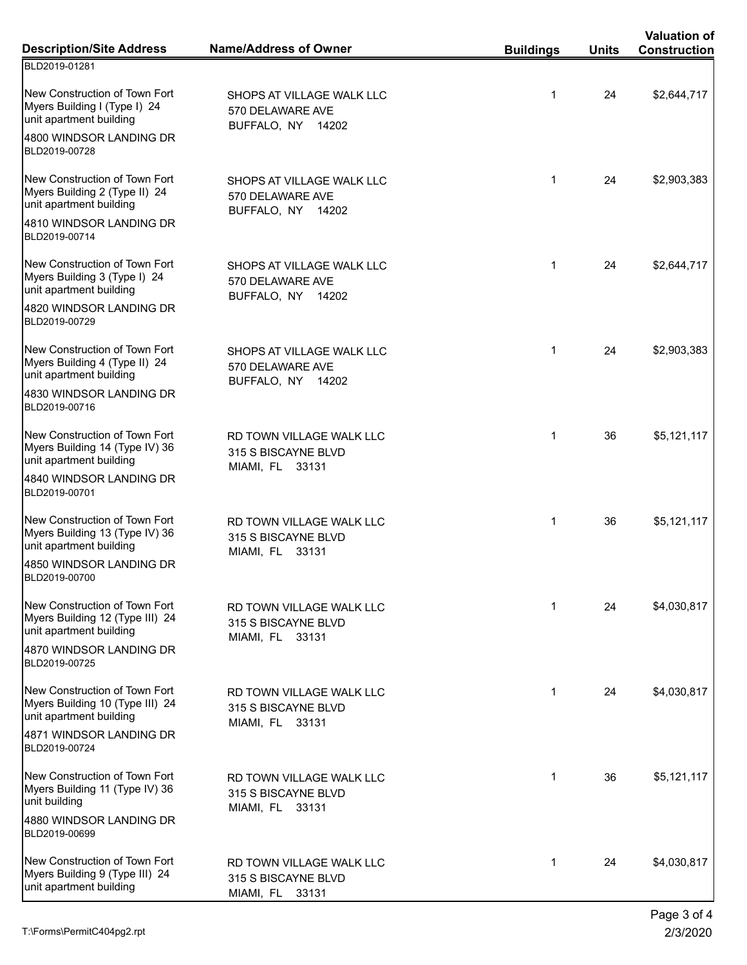| <b>Description/Site Address</b>                                                                                     | <b>Name/Address of Owner</b>                                       | <b>Buildings</b> | <b>Units</b> | <b>Valuation of</b><br><b>Construction</b> |
|---------------------------------------------------------------------------------------------------------------------|--------------------------------------------------------------------|------------------|--------------|--------------------------------------------|
| BLD2019-01281                                                                                                       |                                                                    |                  |              |                                            |
| New Construction of Town Fort<br>Myers Building I (Type I) 24<br>unit apartment building<br>4800 WINDSOR LANDING DR | SHOPS AT VILLAGE WALK LLC<br>570 DELAWARE AVE<br>BUFFALO, NY 14202 | $\mathbf{1}$     | 24           | \$2,644,717                                |
| BLD2019-00728                                                                                                       |                                                                    |                  |              |                                            |
| New Construction of Town Fort<br>Myers Building 2 (Type II) 24<br>unit apartment building                           | SHOPS AT VILLAGE WALK LLC<br>570 DELAWARE AVE<br>BUFFALO, NY 14202 | $\mathbf{1}$     | 24           | \$2,903,383                                |
| 4810 WINDSOR LANDING DR<br>BLD2019-00714                                                                            |                                                                    |                  |              |                                            |
| New Construction of Town Fort<br>Myers Building 3 (Type I) 24<br>unit apartment building                            | SHOPS AT VILLAGE WALK LLC<br>570 DELAWARE AVE<br>BUFFALO, NY 14202 | $\mathbf{1}$     | 24           | \$2,644,717                                |
| 4820 WINDSOR LANDING DR<br>BLD2019-00729                                                                            |                                                                    |                  |              |                                            |
| New Construction of Town Fort<br>Myers Building 4 (Type II) 24<br>unit apartment building                           | SHOPS AT VILLAGE WALK LLC<br>570 DELAWARE AVE<br>BUFFALO, NY 14202 | $\mathbf{1}$     | 24           | \$2,903,383                                |
| 4830 WINDSOR LANDING DR<br>BLD2019-00716                                                                            |                                                                    |                  |              |                                            |
| New Construction of Town Fort<br>Myers Building 14 (Type IV) 36<br>unit apartment building                          | RD TOWN VILLAGE WALK LLC<br>315 S BISCAYNE BLVD<br>MIAMI, FL 33131 | $\mathbf{1}$     | 36           | \$5,121,117                                |
| 4840 WINDSOR LANDING DR<br>BLD2019-00701                                                                            |                                                                    |                  |              |                                            |
| New Construction of Town Fort<br>Myers Building 13 (Type IV) 36<br>unit apartment building                          | RD TOWN VILLAGE WALK LLC<br>315 S BISCAYNE BLVD<br>MIAMI, FL 33131 | $\mathbf{1}$     | 36           | \$5,121,117                                |
| 4850 WINDSOR LANDING DR<br>BLD2019-00700                                                                            |                                                                    |                  |              |                                            |
| New Construction of Town Fort<br>Myers Building 12 (Type III) 24<br>unit apartment building                         | RD TOWN VILLAGE WALK LLC<br>315 S BISCAYNE BLVD<br>MIAMI, FL 33131 | $\mathbf{1}$     | 24           | \$4,030,817                                |
| 4870 WINDSOR LANDING DR<br>BLD2019-00725                                                                            |                                                                    |                  |              |                                            |
| New Construction of Town Fort<br>Myers Building 10 (Type III) 24<br>unit apartment building                         | RD TOWN VILLAGE WALK LLC<br>315 S BISCAYNE BLVD<br>MIAMI, FL 33131 | $\mathbf{1}$     | 24           | \$4,030,817                                |
| 4871 WINDSOR LANDING DR<br>BLD2019-00724                                                                            |                                                                    |                  |              |                                            |
| New Construction of Town Fort<br>Myers Building 11 (Type IV) 36<br>unit building                                    | RD TOWN VILLAGE WALK LLC<br>315 S BISCAYNE BLVD<br>MIAMI, FL 33131 | $\mathbf{1}$     | 36           | \$5,121,117                                |
| 4880 WINDSOR LANDING DR<br>BLD2019-00699                                                                            |                                                                    |                  |              |                                            |
| New Construction of Town Fort<br>Myers Building 9 (Type III) 24<br>unit apartment building                          | RD TOWN VILLAGE WALK LLC<br>315 S BISCAYNE BLVD<br>MIAMI, FL 33131 | $\mathbf{1}$     | 24           | \$4,030,817                                |